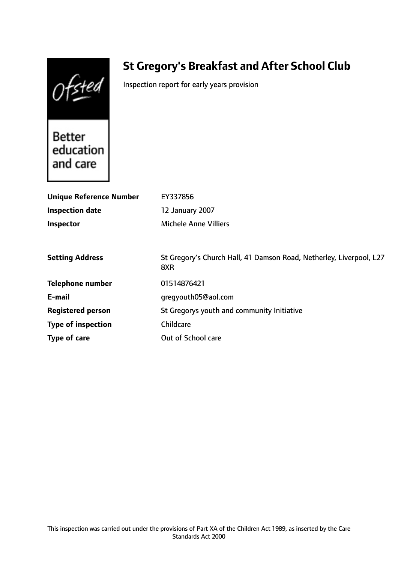Ofsted

# **St Gregory's Breakfast and After School Club**

Inspection report for early years provision

Better education and care

| <b>Unique Reference Number</b> | EY337856                                                                   |
|--------------------------------|----------------------------------------------------------------------------|
| <b>Inspection date</b>         | 12 January 2007                                                            |
| Inspector                      | <b>Michele Anne Villiers</b>                                               |
|                                |                                                                            |
| <b>Setting Address</b>         | St Gregory's Church Hall, 41 Damson Road, Netherley, Liverpool, L27<br>8XR |
| <b>Telephone number</b>        | 01514876421                                                                |
| E-mail                         | gregyouth05@aol.com                                                        |
| <b>Registered person</b>       | St Gregorys youth and community Initiative                                 |
| <b>Type of inspection</b>      | Childcare                                                                  |
| Type of care                   | Out of School care                                                         |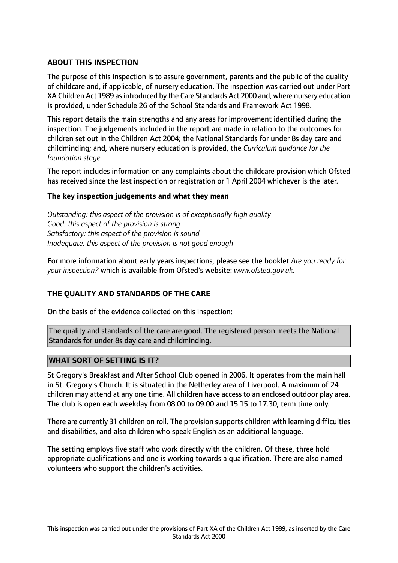# **ABOUT THIS INSPECTION**

The purpose of this inspection is to assure government, parents and the public of the quality of childcare and, if applicable, of nursery education. The inspection was carried out under Part XA Children Act 1989 asintroduced by the Care Standards Act 2000 and, where nursery education is provided, under Schedule 26 of the School Standards and Framework Act 1998.

This report details the main strengths and any areas for improvement identified during the inspection. The judgements included in the report are made in relation to the outcomes for children set out in the Children Act 2004; the National Standards for under 8s day care and childminding; and, where nursery education is provided, the *Curriculum guidance for the foundation stage.*

The report includes information on any complaints about the childcare provision which Ofsted has received since the last inspection or registration or 1 April 2004 whichever is the later.

## **The key inspection judgements and what they mean**

*Outstanding: this aspect of the provision is of exceptionally high quality Good: this aspect of the provision is strong Satisfactory: this aspect of the provision is sound Inadequate: this aspect of the provision is not good enough*

For more information about early years inspections, please see the booklet *Are you ready for your inspection?* which is available from Ofsted's website: *www.ofsted.gov.uk.*

## **THE QUALITY AND STANDARDS OF THE CARE**

On the basis of the evidence collected on this inspection:

The quality and standards of the care are good. The registered person meets the National Standards for under 8s day care and childminding.

## **WHAT SORT OF SETTING IS IT?**

St Gregory's Breakfast and After School Club opened in 2006. It operates from the main hall in St. Gregory's Church. It is situated in the Netherley area of Liverpool. A maximum of 24 children may attend at any one time. All children have access to an enclosed outdoor play area. The club is open each weekday from 08.00 to 09.00 and 15.15 to 17.30, term time only.

There are currently 31 children on roll. The provision supports children with learning difficulties and disabilities, and also children who speak English as an additional language.

The setting employs five staff who work directly with the children. Of these, three hold appropriate qualifications and one is working towards a qualification. There are also named volunteers who support the children's activities.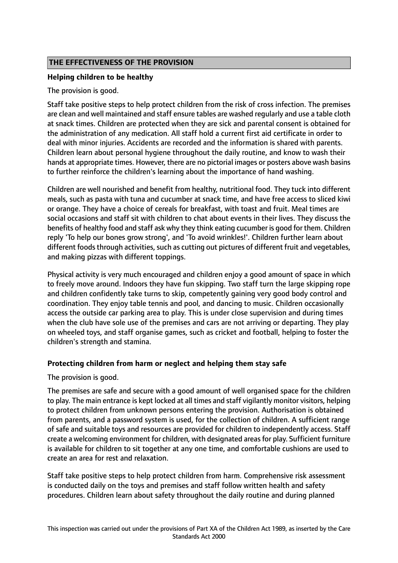# **THE EFFECTIVENESS OF THE PROVISION**

## **Helping children to be healthy**

The provision is good.

Staff take positive steps to help protect children from the risk of cross infection. The premises are clean and well maintained and staff ensure tables are washed regularly and use a table cloth at snack times. Children are protected when they are sick and parental consent is obtained for the administration of any medication. All staff hold a current first aid certificate in order to deal with minor injuries. Accidents are recorded and the information is shared with parents. Children learn about personal hygiene throughout the daily routine, and know to wash their hands at appropriate times. However, there are no pictorial images or posters above wash basins to further reinforce the children's learning about the importance of hand washing.

Children are well nourished and benefit from healthy, nutritional food. They tuck into different meals, such as pasta with tuna and cucumber at snack time, and have free access to sliced kiwi or orange. They have a choice of cereals for breakfast, with toast and fruit. Meal times are social occasions and staff sit with children to chat about events in their lives. They discuss the benefits of healthy food and staff ask why they think eating cucumber is good for them. Children reply 'To help our bones grow strong', and 'To avoid wrinkles!'. Children further learn about different foods through activities, such as cutting out pictures of different fruit and vegetables, and making pizzas with different toppings.

Physical activity is very much encouraged and children enjoy a good amount of space in which to freely move around. Indoors they have fun skipping. Two staff turn the large skipping rope and children confidently take turns to skip, competently gaining very good body control and coordination. They enjoy table tennis and pool, and dancing to music. Children occasionally access the outside car parking area to play. This is under close supervision and during times when the club have sole use of the premises and cars are not arriving or departing. They play on wheeled toys, and staff organise games, such as cricket and football, helping to foster the children's strength and stamina.

## **Protecting children from harm or neglect and helping them stay safe**

The provision is good.

The premises are safe and secure with a good amount of well organised space for the children to play. The main entrance is kept locked at all times and staff vigilantly monitor visitors, helping to protect children from unknown persons entering the provision. Authorisation is obtained from parents, and a password system is used, for the collection of children. A sufficient range of safe and suitable toys and resources are provided for children to independently access. Staff create a welcoming environment for children, with designated areas for play. Sufficient furniture is available for children to sit together at any one time, and comfortable cushions are used to create an area for rest and relaxation.

Staff take positive steps to help protect children from harm. Comprehensive risk assessment is conducted daily on the toys and premises and staff follow written health and safety procedures. Children learn about safety throughout the daily routine and during planned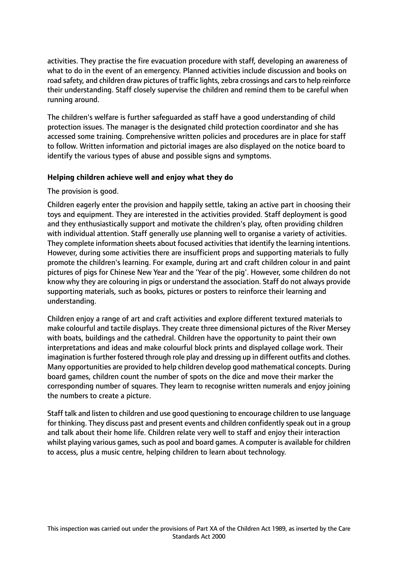activities. They practise the fire evacuation procedure with staff, developing an awareness of what to do in the event of an emergency. Planned activities include discussion and books on road safety, and children draw pictures of traffic lights, zebra crossings and cars to help reinforce their understanding. Staff closely supervise the children and remind them to be careful when running around.

The children's welfare is further safeguarded as staff have a good understanding of child protection issues. The manager is the designated child protection coordinator and she has accessed some training. Comprehensive written policies and procedures are in place for staff to follow. Written information and pictorial images are also displayed on the notice board to identify the various types of abuse and possible signs and symptoms.

## **Helping children achieve well and enjoy what they do**

The provision is good.

Children eagerly enter the provision and happily settle, taking an active part in choosing their toys and equipment. They are interested in the activities provided. Staff deployment is good and they enthusiastically support and motivate the children's play, often providing children with individual attention. Staff generally use planning well to organise a variety of activities. They complete information sheets about focused activities that identify the learning intentions. However, during some activities there are insufficient props and supporting materials to fully promote the children's learning. For example, during art and craft children colour in and paint pictures of pigs for Chinese New Year and the 'Year of the pig'. However, some children do not know why they are colouring in pigs or understand the association. Staff do not always provide supporting materials, such as books, pictures or posters to reinforce their learning and understanding.

Children enjoy a range of art and craft activities and explore different textured materials to make colourful and tactile displays. They create three dimensional pictures of the River Mersey with boats, buildings and the cathedral. Children have the opportunity to paint their own interpretations and ideas and make colourful block prints and displayed collage work. Their imagination is further fostered through role play and dressing up in different outfits and clothes. Many opportunities are provided to help children develop good mathematical concepts. During board games, children count the number of spots on the dice and move their marker the corresponding number of squares. They learn to recognise written numerals and enjoy joining the numbers to create a picture.

Staff talk and listen to children and use good questioning to encourage children to use language for thinking. They discuss past and present events and children confidently speak out in a group and talk about their home life. Children relate very well to staff and enjoy their interaction whilst playing various games, such as pool and board games. A computer is available for children to access, plus a music centre, helping children to learn about technology.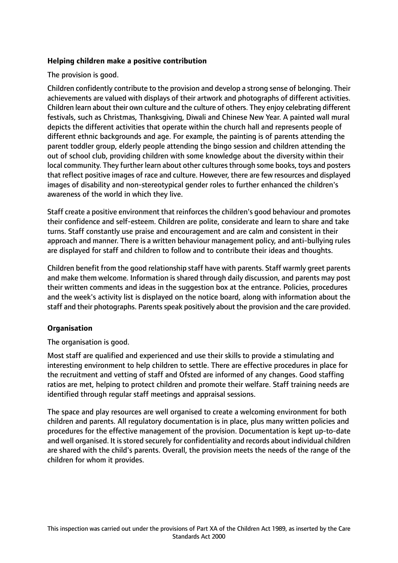## **Helping children make a positive contribution**

The provision is good.

Children confidently contribute to the provision and develop a strong sense of belonging. Their achievements are valued with displays of their artwork and photographs of different activities. Children learn about their own culture and the culture of others. They enjoy celebrating different festivals, such as Christmas, Thanksgiving, Diwali and Chinese New Year. A painted wall mural depicts the different activities that operate within the church hall and represents people of different ethnic backgrounds and age. For example, the painting is of parents attending the parent toddler group, elderly people attending the bingo session and children attending the out of school club, providing children with some knowledge about the diversity within their local community. They further learn about other cultures through some books, toys and posters that reflect positive images of race and culture. However, there are few resources and displayed images of disability and non-stereotypical gender roles to further enhanced the children's awareness of the world in which they live.

Staff create a positive environment that reinforces the children's good behaviour and promotes their confidence and self-esteem. Children are polite, considerate and learn to share and take turns. Staff constantly use praise and encouragement and are calm and consistent in their approach and manner. There is a written behaviour management policy, and anti-bullying rules are displayed for staff and children to follow and to contribute their ideas and thoughts.

Children benefit from the good relationship staff have with parents. Staff warmly greet parents and make them welcome. Information is shared through daily discussion, and parents may post their written comments and ideas in the suggestion box at the entrance. Policies, procedures and the week's activity list is displayed on the notice board, along with information about the staff and their photographs. Parents speak positively about the provision and the care provided.

## **Organisation**

The organisation is good.

Most staff are qualified and experienced and use their skills to provide a stimulating and interesting environment to help children to settle. There are effective procedures in place for the recruitment and vetting of staff and Ofsted are informed of any changes. Good staffing ratios are met, helping to protect children and promote their welfare. Staff training needs are identified through regular staff meetings and appraisal sessions.

The space and play resources are well organised to create a welcoming environment for both children and parents. All regulatory documentation is in place, plus many written policies and procedures for the effective management of the provision. Documentation is kept up-to-date and well organised. It is stored securely for confidentiality and records about individual children are shared with the child's parents. Overall, the provision meets the needs of the range of the children for whom it provides.